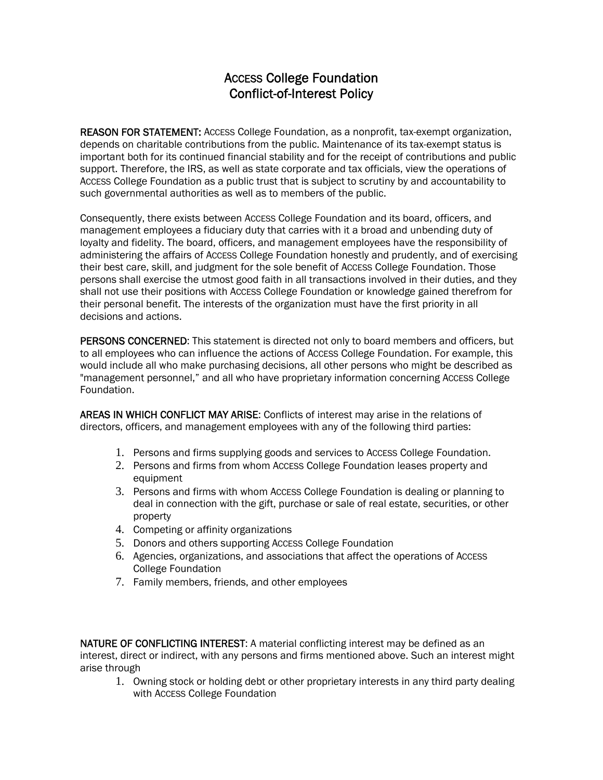## ACCESS College Foundation Conflict-of-Interest Policy

REASON FOR STATEMENT: ACCESS College Foundation, as a nonprofit, tax-exempt organization, depends on charitable contributions from the public. Maintenance of its tax-exempt status is important both for its continued financial stability and for the receipt of contributions and public support. Therefore, the IRS, as well as state corporate and tax officials, view the operations of ACCESS College Foundation as a public trust that is subject to scrutiny by and accountability to such governmental authorities as well as to members of the public.

Consequently, there exists between ACCESS College Foundation and its board, officers, and management employees a fiduciary duty that carries with it a broad and unbending duty of loyalty and fidelity. The board, officers, and management employees have the responsibility of administering the affairs of ACCESS College Foundation honestly and prudently, and of exercising their best care, skill, and judgment for the sole benefit of ACCESS College Foundation. Those persons shall exercise the utmost good faith in all transactions involved in their duties, and they shall not use their positions with ACCESS College Foundation or knowledge gained therefrom for their personal benefit. The interests of the organization must have the first priority in all decisions and actions.

PERSONS CONCERNED: This statement is directed not only to board members and officers, but to all employees who can influence the actions of ACCESS College Foundation. For example, this would include all who make purchasing decisions, all other persons who might be described as "management personnel," and all who have proprietary information concerning ACCESS College Foundation.

AREAS IN WHICH CONFLICT MAY ARISE: Conflicts of interest may arise in the relations of directors, officers, and management employees with any of the following third parties:

- 1. Persons and firms supplying goods and services to ACCESS College Foundation.
- 2. Persons and firms from whom ACCESS College Foundation leases property and equipment
- 3. Persons and firms with whom ACCESS College Foundation is dealing or planning to deal in connection with the gift, purchase or sale of real estate, securities, or other property
- 4. Competing or affinity organizations
- 5. Donors and others supporting ACCESS College Foundation
- 6. Agencies, organizations, and associations that affect the operations of ACCESS College Foundation
- 7. Family members, friends, and other employees

NATURE OF CONFLICTING INTEREST: A material conflicting interest may be defined as an interest, direct or indirect, with any persons and firms mentioned above. Such an interest might arise through

1. Owning stock or holding debt or other proprietary interests in any third party dealing with ACCESS College Foundation